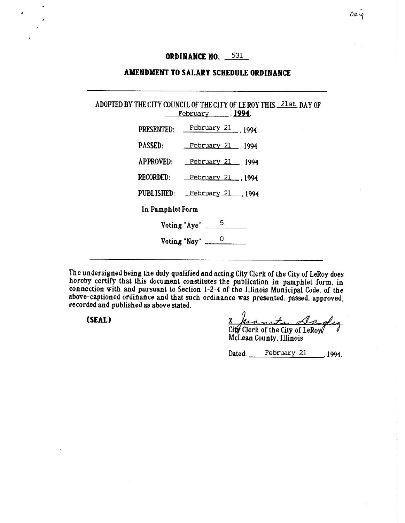# **ORDINANCE NO. 331**

### **AMENDMENT TO SALARY SCHEDULE ORDINANCE**

| ADOPTED BY THE CITY COUNCIL OF THE CITY OF LE ROY THIS 21st DAY OF<br><u>February 1994.</u> |  |  |  |
|---------------------------------------------------------------------------------------------|--|--|--|
| PRESENTED: February 21 1994                                                                 |  |  |  |
| PASSED: February 21 1994                                                                    |  |  |  |
| APPROVED: February 21, 1994                                                                 |  |  |  |
| RECORDED: February 21, 1994                                                                 |  |  |  |
| PUBLISHED: February 21 1994                                                                 |  |  |  |
| In Pamphlet Form                                                                            |  |  |  |
| Voting "Aye" $\frac{5}{\sqrt{2}}$                                                           |  |  |  |
| Voting "Nay" $\frac{0}{1}$                                                                  |  |  |  |
|                                                                                             |  |  |  |

The undersigned being the duly qualified and acting City Clerk of the City of LeRoy does hereby certify that this document constitutes the publication in pamphlet form, in connection with and pursuant to Section 1-2-4 of the Illinois Municipal Code, of the above-captioned ordinance and that such ordinance was presented, passed, approved, recorded and published as above stated,

(SEAL) g \_

Dated: February 21 1994.

City Clerk of the City of LeRoy McLean County, Illinois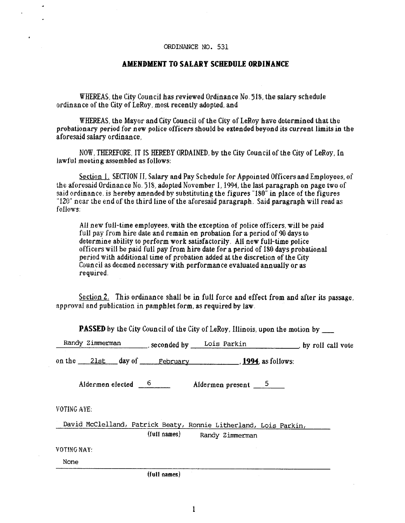#### ORDINANCE NO. 531

### **AMENDMENT TO SALARY SCHEDULE ORDINANCE**

WHEREAS, the City Council has reviewed Ordinance No. 518, the salary schedule ordinance of the City of LeRoy, most recently adopted, and

WHEREAS, the Mayor and City Council of the City of LeRoy have determined that the probationary period *for new* police officers should be extended beyond its current limits in the aforesaid salary ordinance,

NOW, THEREFORE, IT IS HEREBY ORDAINED, by the City Council of the City of LeRoy, In lawful meeting assembled as follows:

Section 1. SECTION II, Salary and Pay Schedule for Appointed Officers and Employees, of the aforesaid Ordinance No. 518, adopted November 1, 1994, the last paragraph on page two of said ordinance, is hereby amended by substituting the figures "180" in place of the figures "120" near the end of the third line of the aforesaid paragraph. Said paragraph will read as follows;

All new full-time employees, with the exception of police officers, will be paid full pay from hire date and remain on probation for a period of 90 days to determine ability to perform work satisfactorily. All new full-time police officers will be paid full pay from hire date for a period of 180 days probational period with additional time of probation added at the discretion of the City Council as deemed necessary with performance evaluated annually or as required.

Section 2. This ordinance shall be in full force and effect from and after its passage, approval and publication in pamphlet form, as required by law.

**PASSED** by the *City* Council of the City of LeRoy, Illinois, upon the motion by

| Randy Zimmerman          | seconded by | Lois Parkin         | by roll call vote |
|--------------------------|-------------|---------------------|-------------------|
| 2lst<br>on the<br>day of | February    | , 1994, as follows: |                   |
| Aldermen elected         |             | Aldermen present    |                   |

VOTING AYE;

David McClelland, Patrick Beaty, Ronnie Litherland, Lois Parkin, (full names); Randy Zimmerman

VOTING NAY:

None

**(full names)**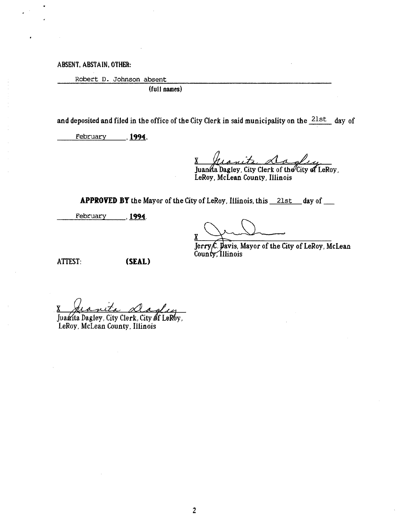**ABSENT, ABSTAIN, OTHER:** 

Robert D. Johnson absent

**(full names)** 

and deposited and filed in the office of the City Clerk in said municipality on the 21st day of

February **,1994.** 

**x** 

Juan⁄ia Dagley, City Clerk of the⁄City **of** LeRoy, LeRoy, McLean County, Illinois

**APPROVED BY** the Mayor of the City of LeRoy, Illinois, this 21st day of

February **199q.** 

**x** 

Jerry C. Davis, Mayor of the City of LeRoy, McLean County, Illinois

ATTEST: **(SEAL)** 

8 Jeanita dagley

Juanita Dagley, City Clerk, City of LeRby, LeRoy, McLean County, Illinois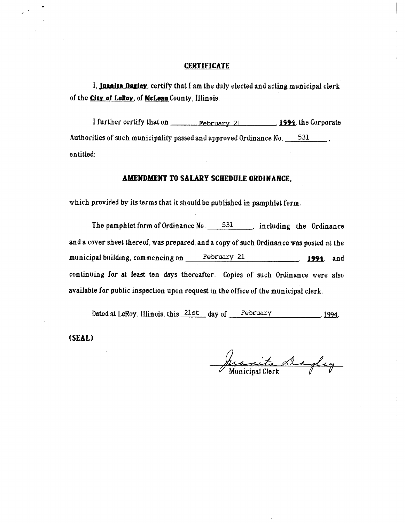#### **CERTIFICATE**

1, **Juanita Daaley.** certify that I am the duly elected and acting municipal clerk of the **City of LeRoy.** of **McLean** County, Illinois,

I further certify that on Pebruary 21 **1994**, the Corporate Authorities of such municipality passed and approved Ordinance No. 531 [100]. entitled:

## **AMENDMENT TO SALARY SCHEDULE ORDINANCE,**

which provided by its terms that it should be published in pamphlet form.

The pamphlet form of Ordinance No.  $531$ , including the Ordinance and a cover sheet thereof, was prepared, and a copy of such Ordinance was posted at the municipal building, commencing on February 21 **1994**, and continuing for at least ten days thereafter. Copies of such Ordinance were also available for public inspection upon request in the office of the municipal clerk

Dated at LeRoy, Illinois, this 21st day of February  $\frac{1994}{1994}$ 

**(SEAL)** 

anita Dagley